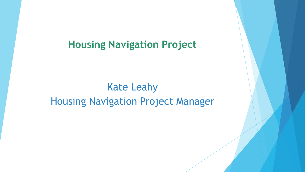### Kate Leahy Housing Navigation Project Manager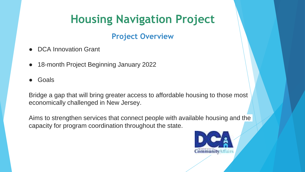#### **Project Overview**

- DCA Innovation Grant
- 18-month Project Beginning January 2022
- Goals

Bridge a gap that will bring greater access to affordable housing to those most economically challenged in New Jersey.

Aims to strengthen services that connect people with available housing and the capacity for program coordination throughout the state.

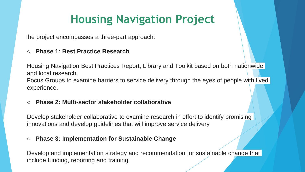The project encompasses a three-part approach:

#### ○ **Phase 1: Best Practice Research**

Housing Navigation Best Practices Report, Library and Toolkit based on both nationwide and local research.

Focus Groups to examine barriers to service delivery through the eyes of people with lived experience.

#### ○ **Phase 2: Multi-sector stakeholder collaborative**

Develop stakeholder collaborative to examine research in effort to identify promising innovations and develop guidelines that will improve service delivery

#### ○ **Phase 3: Implementation for Sustainable Change**

Develop and implementation strategy and recommendation for sustainable change that include funding, reporting and training.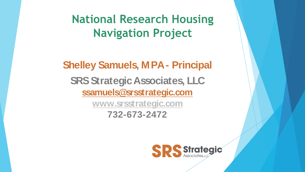**National Research Housing Navigation Project**

**Shelley Samuels, MPA- Principal SRS Strategic Associates, LLC ssamuels@srsstrategic.com www.srsstrategic.com**

**732-673-2472**